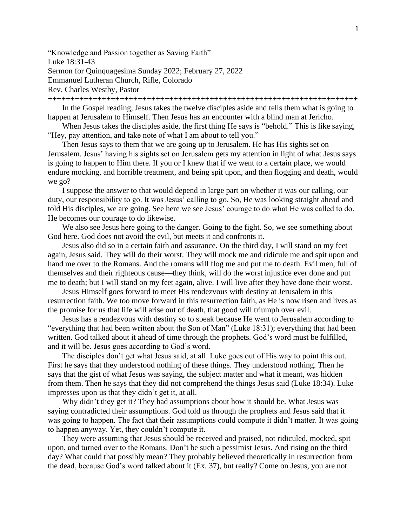"Knowledge and Passion together as Saving Faith"

Luke 18:31-43

Sermon for Quinquagesima Sunday 2022; February 27, 2022

Emmanuel Lutheran Church, Rifle, Colorado

Rev. Charles Westby, Pastor

+++++++++++++++++++++++++++++++++++++++++++++++++++++++++++++++++++++

In the Gospel reading, Jesus takes the twelve disciples aside and tells them what is going to happen at Jerusalem to Himself. Then Jesus has an encounter with a blind man at Jericho.

When Jesus takes the disciples aside, the first thing He says is "behold." This is like saying, "Hey, pay attention, and take note of what I am about to tell you."

Then Jesus says to them that we are going up to Jerusalem. He has His sights set on Jerusalem. Jesus' having his sights set on Jerusalem gets my attention in light of what Jesus says is going to happen to Him there. If you or I knew that if we went to a certain place, we would endure mocking, and horrible treatment, and being spit upon, and then flogging and death, would we go?

I suppose the answer to that would depend in large part on whether it was our calling, our duty, our responsibility to go. It was Jesus' calling to go. So, He was looking straight ahead and told His disciples, we are going. See here we see Jesus' courage to do what He was called to do. He becomes our courage to do likewise.

We also see Jesus here going to the danger. Going to the fight. So, we see something about God here. God does not avoid the evil, but meets it and confronts it.

Jesus also did so in a certain faith and assurance. On the third day, I will stand on my feet again, Jesus said. They will do their worst. They will mock me and ridicule me and spit upon and hand me over to the Romans. And the romans will flog me and put me to death. Evil men, full of themselves and their righteous cause—they think, will do the worst injustice ever done and put me to death; but I will stand on my feet again, alive. I will live after they have done their worst.

Jesus Himself goes forward to meet His rendezvous with destiny at Jerusalem in this resurrection faith. We too move forward in this resurrection faith, as He is now risen and lives as the promise for us that life will arise out of death, that good will triumph over evil.

Jesus has a rendezvous with destiny so to speak because He went to Jerusalem according to "everything that had been written about the Son of Man" (Luke 18:31); everything that had been written. God talked about it ahead of time through the prophets. God's word must be fulfilled, and it will be. Jesus goes according to God's word.

The disciples don't get what Jesus said, at all. Luke goes out of His way to point this out. First he says that they understood nothing of these things. They understood nothing. Then he says that the gist of what Jesus was saying, the subject matter and what it meant, was hidden from them. Then he says that they did not comprehend the things Jesus said (Luke 18:34). Luke impresses upon us that they didn't get it, at all.

Why didn't they get it? They had assumptions about how it should be. What Jesus was saying contradicted their assumptions. God told us through the prophets and Jesus said that it was going to happen. The fact that their assumptions could compute it didn't matter. It was going to happen anyway. Yet, they couldn't compute it.

They were assuming that Jesus should be received and praised, not ridiculed, mocked, spit upon, and turned over to the Romans. Don't be such a pessimist Jesus. And rising on the third day? What could that possibly mean? They probably believed theoretically in resurrection from the dead, because God's word talked about it (Ex. 37), but really? Come on Jesus, you are not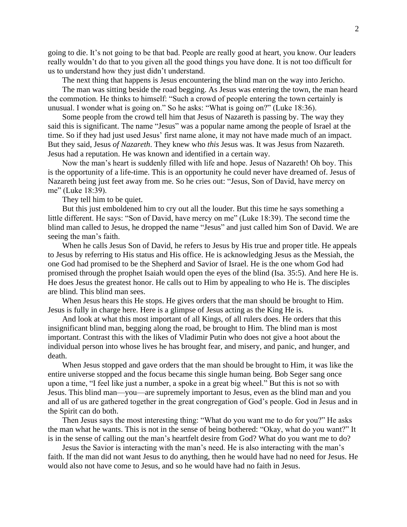going to die. It's not going to be that bad. People are really good at heart, you know. Our leaders really wouldn't do that to you given all the good things you have done. It is not too difficult for us to understand how they just didn't understand.

The next thing that happens is Jesus encountering the blind man on the way into Jericho.

The man was sitting beside the road begging. As Jesus was entering the town, the man heard the commotion. He thinks to himself: "Such a crowd of people entering the town certainly is unusual. I wonder what is going on." So he asks: "What is going on?" (Luke 18:36).

Some people from the crowd tell him that Jesus of Nazareth is passing by. The way they said this is significant. The name "Jesus" was a popular name among the people of Israel at the time. So if they had just used Jesus' first name alone, it may not have made much of an impact. But they said, Jesus *of Nazareth*. They knew who *this* Jesus was. It was Jesus from Nazareth. Jesus had a reputation. He was known and identified in a certain way.

Now the man's heart is suddenly filled with life and hope. Jesus of Nazareth! Oh boy. This is the opportunity of a life-time. This is an opportunity he could never have dreamed of. Jesus of Nazareth being just feet away from me. So he cries out: "Jesus, Son of David, have mercy on me" (Luke 18:39).

They tell him to be quiet.

But this just emboldened him to cry out all the louder. But this time he says something a little different. He says: "Son of David, have mercy on me" (Luke 18:39). The second time the blind man called to Jesus, he dropped the name "Jesus" and just called him Son of David. We are seeing the man's faith.

When he calls Jesus Son of David, he refers to Jesus by His true and proper title. He appeals to Jesus by referring to His status and His office. He is acknowledging Jesus as the Messiah, the one God had promised to be the Shepherd and Savior of Israel. He is the one whom God had promised through the prophet Isaiah would open the eyes of the blind (Isa. 35:5). And here He is. He does Jesus the greatest honor. He calls out to Him by appealing to who He is. The disciples are blind. This blind man sees.

When Jesus hears this He stops. He gives orders that the man should be brought to Him. Jesus is fully in charge here. Here is a glimpse of Jesus acting as the King He is.

And look at what this most important of all Kings, of all rulers does. He orders that this insignificant blind man, begging along the road, be brought to Him. The blind man is most important. Contrast this with the likes of Vladimir Putin who does not give a hoot about the individual person into whose lives he has brought fear, and misery, and panic, and hunger, and death.

When Jesus stopped and gave orders that the man should be brought to Him, it was like the entire universe stopped and the focus became this single human being. Bob Seger sang once upon a time, "I feel like just a number, a spoke in a great big wheel." But this is not so with Jesus. This blind man—you—are supremely important to Jesus, even as the blind man and you and all of us are gathered together in the great congregation of God's people. God in Jesus and in the Spirit can do both.

Then Jesus says the most interesting thing: "What do you want me to do for you?" He asks the man what he wants. This is not in the sense of being bothered: "Okay, what do you want?" It is in the sense of calling out the man's heartfelt desire from God? What do you want me to do?

Jesus the Savior is interacting with the man's need. He is also interacting with the man's faith. If the man did not want Jesus to do anything, then he would have had no need for Jesus. He would also not have come to Jesus, and so he would have had no faith in Jesus.